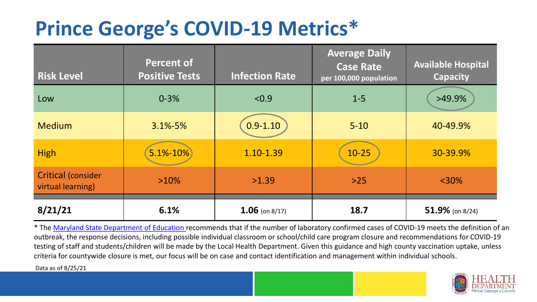## **Prince George's COVID-19 Metrics\***

| <b>Risk Level</b>                              | <b>Percent of</b><br><b>Positive Tests</b> | <b>Infection Rate</b> | <b>Average Daily</b><br><b>Case Rate</b><br>per 100,000 population | <b>Available Hospital</b><br><b>Capacity</b> |
|------------------------------------------------|--------------------------------------------|-----------------------|--------------------------------------------------------------------|----------------------------------------------|
| Low                                            | $0 - 3%$                                   | < 0.9                 | $1-5$                                                              | $>49.9\%$                                    |
| <b>Medium</b>                                  | $3.1\% - 5\%$                              | $0.9 - 1.10$          | $5 - 10$                                                           | 40-49.9%                                     |
| <b>High</b>                                    | $5.1\% - 10\%$                             | 1.10-1.39             | $10 - 25$                                                          | 30-39.9%                                     |
| <b>Critical (consider</b><br>virtual learning) | $>10\%$                                    | >1.39                 | $>25$                                                              | $<$ 30%                                      |
| 8/21/21                                        | 6.1%                                       | $1.06$ (on 8/17)      | 18.7                                                               | 51.9% (on $8/24$ )                           |

\* The [Maryland State Department of Education r](https://earlychildhood.marylandpublicschools.org/system/files/filedepot/3/covid_guidance_full_080420.pdf)ecommends that if the number of laboratory confirmed cases of COVID-19 meets the definition of an outbreak, the response decisions, including possible individual classroom or school/child care program closure and recommendations for COVID-19 testing of staff and students/children will be made by the Local Health Department. Given this guidance and high county vaccination uptake, unless criteria for countywide closure is met, our focus will be on case and contact identification and management within individual schools.

Data as of 8/25/21

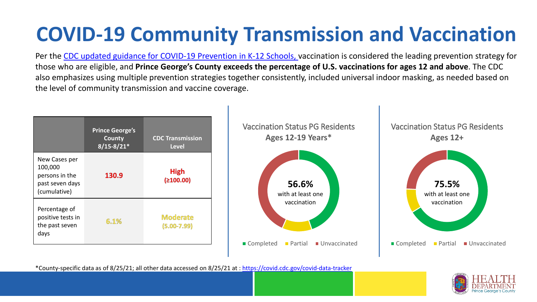# **COVID-19 Community Transmission and Vaccination**

Per the [CDC updated guidance for COVID-19 Prevention in K-12 Schools,](https://www.cdc.gov/coronavirus/2019-ncov/community/schools-childcare/k-12-guidance.html) vaccination is considered the leading prevention strategy for those who are eligible, and **Prince George's County exceeds the percentage of U.S. vaccinations for ages 12 and above**. The CDC also emphasizes using multiple prevention strategies together consistently, included universal indoor masking, as needed based on the level of community transmission and vaccine coverage.



\*County-specific data as of 8/25/21; all other data accessed on 8/25/21 at :<https://covid.cdc.gov/covid-data-tracker>

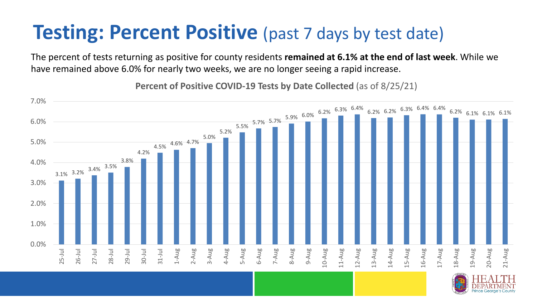### **Testing: Percent Positive** (past 7 days by test date)

The percent of tests returning as positive for county residents **remained at 6.1% at the end of last week**. While we have remained above 6.0% for nearly two weeks, we are no longer seeing a rapid increase.

3.1% 3.2% 3.4% 3.5% 3.8% 4.2% 4.5% 4.6% 4.7% 5.0% 5.2%  $\frac{5.7\%}{5.5\%}$  5.7% 5.7% 6.9% 6.0% 6.2% 6.3% 6.2% 6.2% 6.3% 6.4% 6.4% 6.2% 6.1% 6.1% 6.1% 6.1% 0.0% 1.0% 2.0% 3.0% 4.0% 5.0% 6.0% 7.0% 25-Jul 26-Jul 27-Jul 28-Jul 29-Jul 30-Jul 31-Jul 1-Aug 2-Aug 3-Aug 4-Aug 5-Aug 6-Aug 7-Aug 8-Aug 9-Aug 10-Aug 1-Aug 12-Aug 13-Aug 14-Aug 15-Aug 16-Aug 17-Aug 18-Aug 19-Aug 20-Aug 21-Aug

**Percent of Positive COVID-19 Tests by Date Collected** (as of 8/25/21)

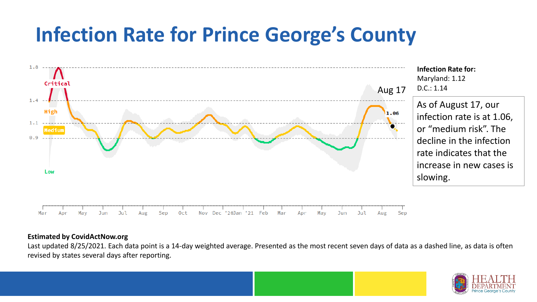## **Infection Rate for Prince George's County**



#### **Estimated by CovidActNow.org**

Last updated 8/25/2021. Each data point is a 14-day weighted average. Presented as the most recent seven days of data as a dashed line, as data is often revised by states several days after reporting.

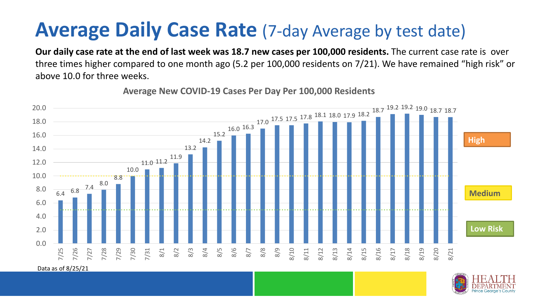### **Average Daily Case Rate** (7-day Average by test date)

**Our daily case rate at the end of last week was 18.7 new cases per 100,000 residents.** The current case rate is over three times higher compared to one month ago (5.2 per 100,000 residents on 7/21). We have remained "high risk" or above 10.0 for three weeks.



**Average New COVID-19 Cases Per Day Per 100,000 Residents**

Data as of 8/25/21